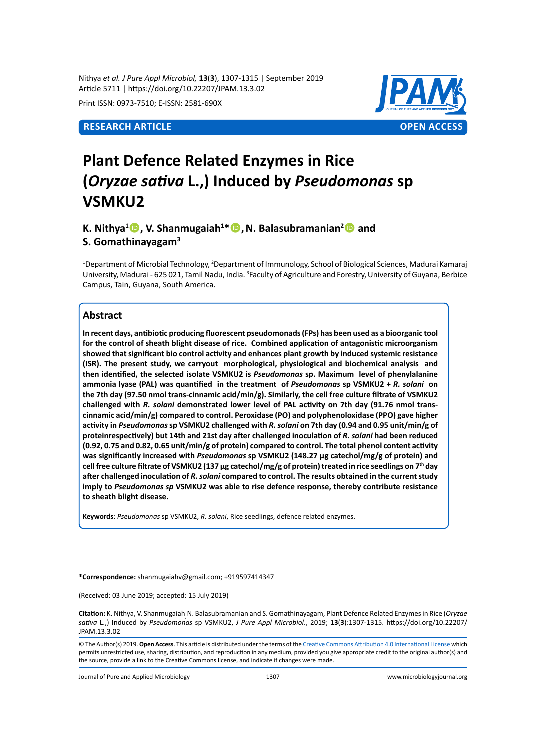Nithya *et al. J Pure Appl Microbiol,* **13**(**3**), 1307-1315 | September 2019 Article 5711 | https://doi.org/10.22207/JPAM.13.3.02

Print ISSN: 0973-7510; E-ISSN: 2581-690X



# **Plant Defence Related Enzymes in Rice (***Oryzae sativa* **L.,) Induced by** *Pseudomonas* **sp VSMKU2**

**K.** Nithya<sup>1</sup> **D**, V. Shanmugaiah<sup>1\*</sup> **D**, N. Balasubramanian<sup>2</sup> D and **S. Gomathinayagam3**

<sup>1</sup>Department of Microbial Technology, <sup>2</sup>Department of Immunology, School of Biological Sciences, Madurai Kamaraj University, Madurai - 625 021, Tamil Nadu, India. <sup>3</sup>Faculty of Agriculture and Forestry, University of Guyana, Berbice Campus, Tain, Guyana, South America.

### **Abstract**

**In recent days, antibiotic producing fluorescent pseudomonads (FPs) has been used as a bioorganic tool for the control of sheath blight disease of rice. Combined application of antagonistic microorganism showed that significant bio control activity and enhances plant growth by induced systemic resistance (ISR). The present study, we carryout morphological, physiological and biochemical analysis and then identified, the selected isolate VSMKU2 is** *Pseudomonas* **sp. Maximum level of phenylalanine ammonia lyase (PAL) was quantified in the treatment of** *Pseudomonas* **sp VSMKU2 +** *R. solani* **on the 7th day (97.50 nmol trans-cinnamic acid/min/g). Similarly, the cell free culture filtrate of VSMKU2 challenged with** *R. solani* **demonstrated lower level of PAL activity on 7th day (91.76 nmol transcinnamic acid/min/g) compared to control. Peroxidase (PO) and polyphenoloxidase (PPO) gave higher activity in** *Pseudomonas* **sp VSMKU2 challenged with** *R. solani* **on 7th day (0.94 and 0.95 unit/min/g of proteinrespectively) but 14th and 21st day after challenged inoculation of** *R. solani* **had been reduced (0.92, 0.75 and 0.82, 0.65 unit/min/g of protein) compared to control. The total phenol content activity was significantly increased with** *Pseudomonas* **sp VSMKU2 (148.27 µg catechol/mg/g of protein) and cell free culture filtrate of VSMKU2 (137 µg catechol/mg/g of protein) treated in rice seedlings on 7th day after challenged inoculation of** *R. solani* **compared to control. The results obtained in the current study imply to** *Pseudomonas sp* **VSMKU2 was able to rise defence response, thereby contribute resistance to sheath blight disease.**

**Keywords**: *Pseudomonas* sp VSMKU2, *R. solani*, Rice seedlings, defence related enzymes.

**\*Correspondence:** shanmugaiahv@gmail.com; +919597414347

(Received: 03 June 2019; accepted: 15 July 2019)

**Citation:** K. Nithya, V. Shanmugaiah, N. Balasubramanian and S. Gomathinayagam, Plant Defence Related Enzymes in Rice (*Oryzae sativa* L.,) Induced by *Pseudomonas* sp VSMKU2, *J Pure Appl Microbiol*., 2019; **13**(**3**):1307-1315. https://doi.org/10.22207/ JPAM.13.3.02

© The Author(s) 2019. **Open Access**. This article is distributed under the terms of the [Creative Commons Attribution 4.0 International License](https://creativecommons.org/licenses/by/4.0/) which permits unrestricted use, sharing, distribution, and reproduction in any medium, provided you give appropriate credit to the original author(s) and the source, provide a link to the Creative Commons license, and indicate if changes were made.

Journal of Pure and Applied Microbiology 1307 www.microbiologyjournal.org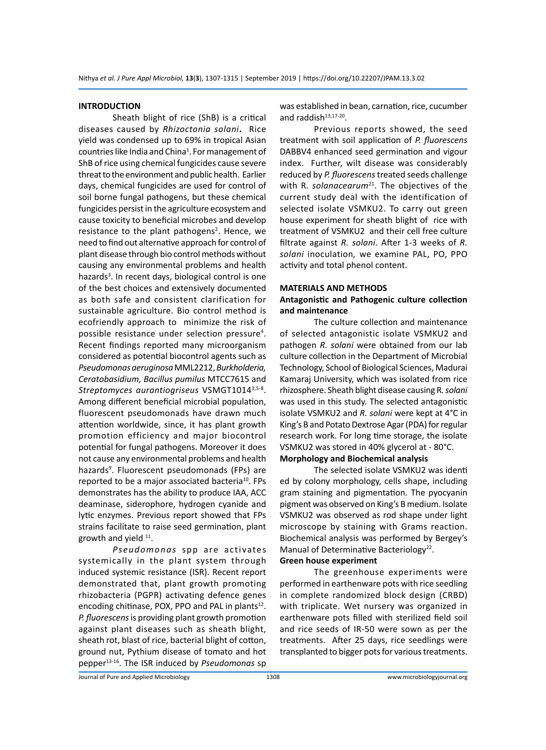#### **INTRODUCTION**

Sheath blight of rice (ShB) is a critical diseases caused by *Rhizoctonia solani***.** Rice yield was condensed up to 69% in tropical Asian countries like India and China<sup>1</sup>. For management of ShB of rice using chemical fungicides cause severe threat to the environment and public health. Earlier days, chemical fungicides are used for control of soil borne fungal pathogens, but these chemical fungicides persist in the agriculture ecosystem and cause toxicity to beneficial microbes and develop resistance to the plant pathogens<sup>2</sup>. Hence, we need to find out alternative approach for control of plant disease through bio control methods without causing any environmental problems and health hazards<sup>3</sup>. In recent days, biological control is one of the best choices and extensively documented as both safe and consistent clarification for sustainable agriculture. Bio control method is ecofriendly approach to minimize the risk of possible resistance under selection pressure<sup>4</sup>. Recent findings reported many microorganism considered as potential biocontrol agents such as *Pseudomonas aeruginosa* MML2212, *Burkholderia, Ceratobasidium, Bacillus pumilus* MTCC7615 and *Streptomyces aurantiogriseus* VSMGT10143,5-8. Among different beneficial microbial population, fluorescent pseudomonads have drawn much attention worldwide, since, it has plant growth promotion efficiency and major biocontrol potential for fungal pathogens. Moreover it does not cause any environmental problems and health hazards<sup>9</sup>. Fluorescent pseudomonads (FPs) are reported to be a major associated bacteria<sup>10</sup>. FPs demonstrates has the ability to produce IAA, ACC deaminase, siderophore, hydrogen cyanide and lytic enzymes. Previous report showed that FPs strains facilitate to raise seed germination, plant growth and yield <sup>11</sup>.

*Pseudomonas* spp are activates systemically in the plant system through induced systemic resistance (ISR). Recent report demonstrated that, plant growth promoting rhizobacteria (PGPR) activating defence genes encoding chitinase, POX, PPO and PAL in plants $12$ . *P. fluorescens* is providing plant growth promotion against plant diseases such as sheath blight, sheath rot, blast of rice, bacterial blight of cotton, ground nut, Pythium disease of tomato and hot pepper13-16. The ISR induced by *Pseudomonas* sp was established in bean, carnation, rice, cucumber and raddish $13,17-20$ .

Previous reports showed, the seed treatment with soil application of *P. fluorescens* DABBV4 enhanced seed germination and vigour index. Further, wilt disease was considerably reduced by *P. fluorescens* treated seeds challenge with R. solanacearum<sup>21</sup>. The objectives of the current study deal with the identification of selected isolate VSMKU2. To carry out green house experiment for sheath blight of rice with treatment of VSMKU2 and their cell free culture filtrate against *R. solani*. After 1-3 weeks of *R. solani* inoculation*,* we examine PAL, PO, PPO activity and total phenol content.

#### **MATERIALS AND METHODS**

#### **Antagonistic and Pathogenic culture collection and maintenance**

The culture collection and maintenance of selected antagonistic isolate VSMKU2 and pathogen *R. solani* were obtained from our lab culture collection in the Department of Microbial Technology, School of Biological Sciences, Madurai Kamaraj University, which was isolated from rice rhizosphere. Sheath blight disease causing R*. solani* was used in this study. The selected antagonistic isolate VSMKU2 and *R. solani* were kept at 4°C in King's B and Potato Dextrose Agar (PDA) for regular research work. For long time storage, the isolate VSMKU2 was stored in 40% glycerol at - 80°C.

#### **Morphology and Biochemical analysis**

The selected isolate VSMKU2 was identi ed by colony morphology, cells shape, including gram staining and pigmentation. The pyocyanin pigment was observed on King's B medium. Isolate VSMKU2 was observed as rod shape under light microscope by staining with Grams reaction. Biochemical analysis was performed by Bergey's Manual of Determinative Bacteriology<sup>22</sup>.

#### **Green house experiment**

The greenhouse experiments were performed in earthenware pots with rice seedling in complete randomized block design (CRBD) with triplicate. Wet nursery was organized in earthenware pots filled with sterilized field soil and rice seeds of IR-50 were sown as per the treatments. After 25 days, rice seedlings were transplanted to bigger pots for various treatments.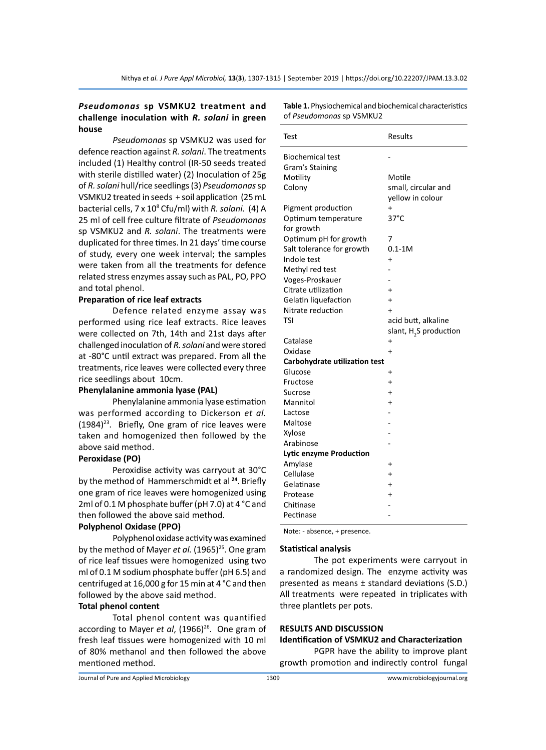#### *Pseudomonas* **sp VSMKU2 treatment and challenge inoculation with** *R. solani* **in green house**

*Pseudomonas* sp VSMKU2 was used for defence reaction against *R. solani*. The treatments included (1) Healthy control (IR-50 seeds treated with sterile distilled water) (2) Inoculation of 25g of *R. solani* hull/rice seedlings (3) *Pseudomonas* sp VSMKU2 treated in seeds + soil application (25 mL bacterial cells, 7 x 10<sup>8</sup> Cfu/ml) with *R. solani.* (4) A 25 ml of cell free culture filtrate of *Pseudomonas* sp VSMKU2 and *R. solani*. The treatments were duplicated for three times. In 21 days' time course of study, every one week interval; the samples were taken from all the treatments for defence related stress enzymes assay such as PAL, PO, PPO and total phenol.

#### **Preparation of rice leaf extracts**

Defence related enzyme assay was performed using rice leaf extracts. Rice leaves were collected on 7th, 14th and 21st days after challenged inoculation of *R. solani* and were stored at -80°C until extract was prepared. From all the treatments, rice leaves were collected every three rice seedlings about 10cm.

#### **Phenylalanine ammonia lyase (PAL)**

Phenylalanine ammonia lyase estimation was performed according to Dickerson *et al.*  $(1984)^{23}$ . Briefly, One gram of rice leaves were taken and homogenized then followed by the above said method.

#### **Peroxidase (PO)**

Peroxidise activity was carryout at 30°C by the method of Hammerschmidt et al **<sup>24</sup>**. Briefly one gram of rice leaves were homogenized using 2ml of 0.1 M phosphate buffer (pH 7.0) at 4 °C and then followed the above said method.

#### **Polyphenol Oxidase (PPO)**

Polyphenol oxidase activity was examined by the method of Mayer *et al.* (1965)<sup>25</sup>. One gram of rice leaf tissues were homogenized using two ml of 0.1 M sodium phosphate buffer (pH 6.5) and centrifuged at 16,000 g for 15 min at 4 °C and then followed by the above said method.

#### **Total phenol content**

Total phenol content was quantified according to Mayer *et al*, (1966)<sup>26</sup>. One gram of fresh leaf tissues were homogenized with 10 ml of 80% methanol and then followed the above mentioned method.

**Table 1.** Physiochemical and biochemical characteristics of *Pseudomonas* sp VSMKU2

| Test                                 | <b>Results</b>                     |
|--------------------------------------|------------------------------------|
| <b>Biochemical test</b>              |                                    |
| Gram's Staining                      |                                    |
| Motility                             | Motile                             |
| Colony                               | small, circular and                |
|                                      | vellow in colour                   |
| Pigment production                   | $\ddot{}$                          |
| Optimum temperature                  | $37^{\circ}$ C                     |
| for growth                           |                                    |
| Optimum pH for growth                | 7                                  |
| Salt tolerance for growth            | $0.1 - 1M$                         |
| Indole test                          | $\ddot{}$                          |
| Methyl red test                      |                                    |
| Voges-Proskauer                      |                                    |
| Citrate utilization                  | $\ddot{}$                          |
| Gelatin liquefaction                 | $\ddot{}$                          |
| Nitrate reduction                    | $\ddot{}$                          |
| TSI                                  | acid butt, alkaline                |
|                                      | slant, H <sub>2</sub> S production |
| Catalase                             | $\ddot{}$                          |
| Oxidase                              | $\ddot{}$                          |
| <b>Carbohydrate utilization test</b> |                                    |
| Glucose                              | $\ddot{}$                          |
| Fructose                             | $\ddot{}$                          |
| Sucrose                              | $\ddot{}$                          |
| Mannitol                             | $\ddot{}$                          |
| Lactose                              |                                    |
| Maltose                              |                                    |
| Xylose                               |                                    |
| Arabinose                            |                                    |
| Lytic enzyme Production              |                                    |
| Amylase                              | +                                  |
| Cellulase                            | $\ddot{}$                          |
| Gelatinase                           | $\ddot{}$                          |
| Protease                             | +                                  |
| Chitinase                            |                                    |
| Pectinase                            |                                    |

Note: - absence, + presence.

#### **Statistical analysis**

The pot experiments were carryout in a randomized design. The enzyme activity was presented as means ± standard deviations (S.D.) All treatments were repeated in triplicates with three plantlets per pots.

#### **RESULTS AND DISCUSSION**

## **Identification of VSMKU2 and Characterization**

PGPR have the ability to improve plant growth promotion and indirectly control fungal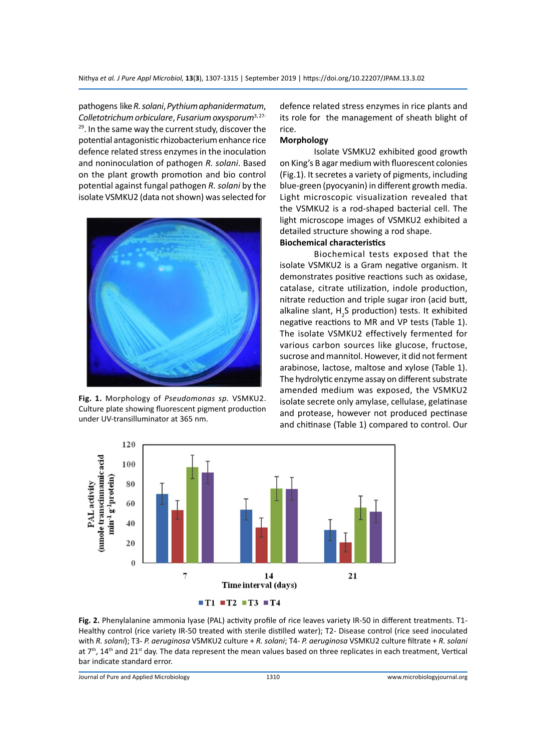pathogens like *R. solani*, *Pythium aphanidermatum*, *Colletotrichum orbiculare*, *Fusarium oxysporum*3, 27- <sup>29</sup>. In the same way the current study, discover the potential antagonistic rhizobacterium enhance rice defence related stress enzymes in the inoculation and noninoculation of pathogen *R. solani*. Based on the plant growth promotion and bio control potential against fungal pathogen *R. solani* by the isolate VSMKU2 (data not shown) was selected for



**Fig. 1.** Morphology of *Pseudomonas sp.* VSMKU2. Culture plate showing fluorescent pigment production under UV-transilluminator at 365 nm.

defence related stress enzymes in rice plants and its role for the management of sheath blight of rice.

#### **Morphology**

Isolate VSMKU2 exhibited good growth on King's B agar medium with fluorescent colonies (Fig.1). It secretes a variety of pigments, including blue-green (pyocyanin) in different growth media. Light microscopic visualization revealed that the VSMKU2 is a rod-shaped bacterial cell. The light microscope images of VSMKU2 exhibited a detailed structure showing a rod shape.

#### **Biochemical characteristics**

Biochemical tests exposed that the isolate VSMKU2 is a Gram negative organism. It demonstrates positive reactions such as oxidase, catalase, citrate utilization, indole production, nitrate reduction and triple sugar iron (acid butt, alkaline slant,  $H_2S$  production) tests. It exhibited negative reactions to MR and VP tests (Table 1). The isolate VSMKU2 effectively fermented for various carbon sources like glucose, fructose, sucrose and mannitol. However, it did not ferment arabinose, lactose, maltose and xylose (Table 1). The hydrolytic enzyme assay on different substrate amended medium was exposed, the VSMKU2 isolate secrete only amylase, cellulase, gelatinase and protease, however not produced pectinase and chitinase (Table 1) compared to control. Our



**Fig. 2.** Phenylalanine ammonia lyase (PAL) activity profile of rice leaves variety IR-50 in different treatments. T1- Healthy control (rice variety IR-50 treated with sterile distilled water); T2- Disease control (rice seed inoculated with *R. solani*); T3- *P. aeruginosa* VSMKU2 culture + *R. solani*; T4- *P. aeruginosa* VSMKU2 culture filtrate + *R. solani* at 7<sup>th</sup>, 14<sup>th</sup> and 21<sup>st</sup> day. The data represent the mean values based on three replicates in each treatment, Vertical bar indicate standard error.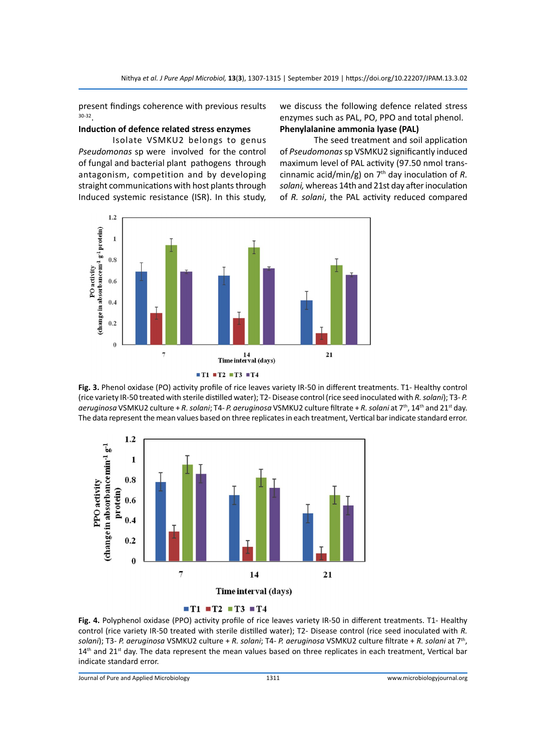present findings coherence with previous results 30-32.

#### **Induction of defence related stress enzymes**

Isolate VSMKU2 belongs to genus *Pseudomonas* sp were involved for the control of fungal and bacterial plant pathogens through antagonism, competition and by developing straight communications with host plants through Induced systemic resistance (ISR). In this study, we discuss the following defence related stress enzymes such as PAL, PO, PPO and total phenol. **Phenylalanine ammonia lyase (PAL)** 

The seed treatment and soil application of *Pseudomonas* sp VSMKU2 significantly induced maximum level of PAL activity (97.50 nmol transcinnamic acid/min/g) on  $7<sup>th</sup>$  day inoculation of R. *solani,* whereas 14th and 21st day after inoculation of *R. solani*, the PAL activity reduced compared





**Fig. 3.** Phenol oxidase (PO) activity profile of rice leaves variety IR-50 in different treatments. T1- Healthy control (rice variety IR-50 treated with sterile distilled water); T2- Disease control (rice seed inoculated with *R. solani*); T3- *P. aeruginosa* VSMKU2 culture + *R. solani*; T4- *P. aeruginosa* VSMKU2 culture filtrate + *R. solani* at 7th, 14th and 21st day. The data represent the mean values based on three replicates in each treatment, Vertical bar indicate standard error.



#### $TT1 = T2 = T3 = T4$

**Fig. 4.** Polyphenol oxidase (PPO) activity profile of rice leaves variety IR-50 in different treatments. T1- Healthy control (rice variety IR-50 treated with sterile distilled water); T2- Disease control (rice seed inoculated with *R. solani*); T3- *P. aeruginosa* VSMKU2 culture + *R. solani*; T4- *P. aeruginosa* VSMKU2 culture filtrate + *R. solani* at 7th,  $14<sup>th</sup>$  and  $21<sup>st</sup>$  day. The data represent the mean values based on three replicates in each treatment, Vertical bar indicate standard error.

Journal of Pure and Applied Microbiology 1311 www.microbiologyjournal.org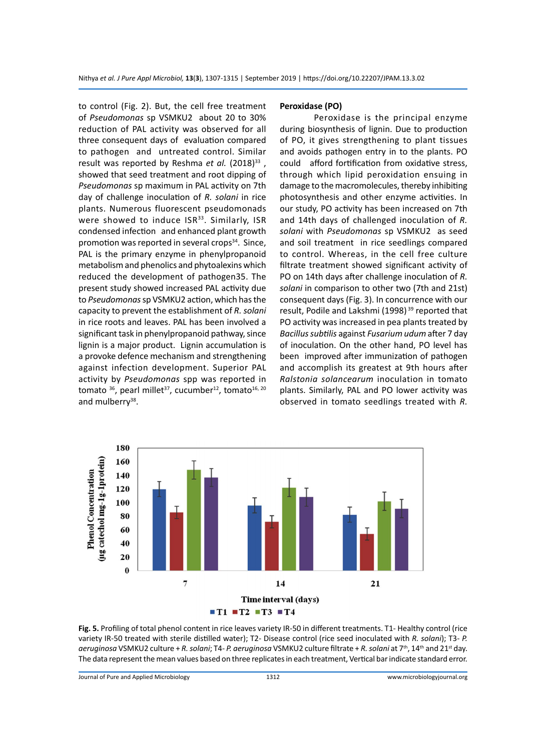to control (Fig. 2). But, the cell free treatment of *Pseudomonas* sp VSMKU2 about 20 to 30% reduction of PAL activity was observed for all three consequent days of evaluation compared to pathogen and untreated control. Similar result was reported by Reshma *et al.* (2018)<sup>33</sup>, showed that seed treatment and root dipping of *Pseudomonas* sp maximum in PAL activity on 7th day of challenge inoculation of *R. solani* in rice plants. Numerous fluorescent pseudomonads were showed to induce ISR<sup>33</sup>. Similarly, ISR condensed infection and enhanced plant growth promotion was reported in several crops $34$ . Since, PAL is the primary enzyme in phenylpropanoid metabolism and phenolics and phytoalexins which reduced the development of pathogen35. The present study showed increased PAL activity due to *Pseudomonas* sp VSMKU2 action, which has the capacity to prevent the establishment of *R. solani* in rice roots and leaves. PAL has been involved a significant task in phenylpropanoid pathway, since lignin is a major product. Lignin accumulation is a provoke defence mechanism and strengthening against infection development. Superior PAL activity by *Pseudomonas* spp was reported in tomato <sup>36</sup>, pearl millet<sup>37</sup>, cucumber<sup>12</sup>, tomato<sup>16, 20</sup> and mulberry<sup>38</sup>.

#### **Peroxidase (PO)**

Peroxidase is the principal enzyme during biosynthesis of lignin. Due to production of PO, it gives strengthening to plant tissues and avoids pathogen entry in to the plants. PO could afford fortification from oxidative stress, through which lipid peroxidation ensuing in damage to the macromolecules, thereby inhibiting photosynthesis and other enzyme activities. In our study, PO activity has been increased on 7th and 14th days of challenged inoculation of *R. solani* with *Pseudomonas* sp VSMKU2 as seed and soil treatment in rice seedlings compared to control. Whereas, in the cell free culture filtrate treatment showed significant activity of PO on 14th days after challenge inoculation of *R. solani* in comparison to other two (7th and 21st) consequent days (Fig. 3). In concurrence with our result, Podile and Lakshmi (1998)<sup>39</sup> reported that PO activity was increased in pea plants treated by *Bacillus subtilis* against *Fusarium udum* after 7 day of inoculation. On the other hand, PO level has been improved after immunization of pathogen and accomplish its greatest at 9th hours after *Ralstonia solancearum* inoculation in tomato plants. Similarly, PAL and PO lower activity was observed in tomato seedlings treated with *R.* 



Fig. 5. Profiling of total phenol content in rice leaves variety IR-50 in different treatments. T1- Healthy control (rice variety IR-50 treated with sterile distilled water); T2- Disease control (rice seed inoculated with *R. solani*); T3- *P. aeruginosa* VSMKU2 culture + *R. solani*; T4- *P. aeruginosa* VSMKU2 culture filtrate + *R. solani* at 7th, 14th and 21st day. The data represent the mean values based on three replicates in each treatment, Vertical bar indicate standard error.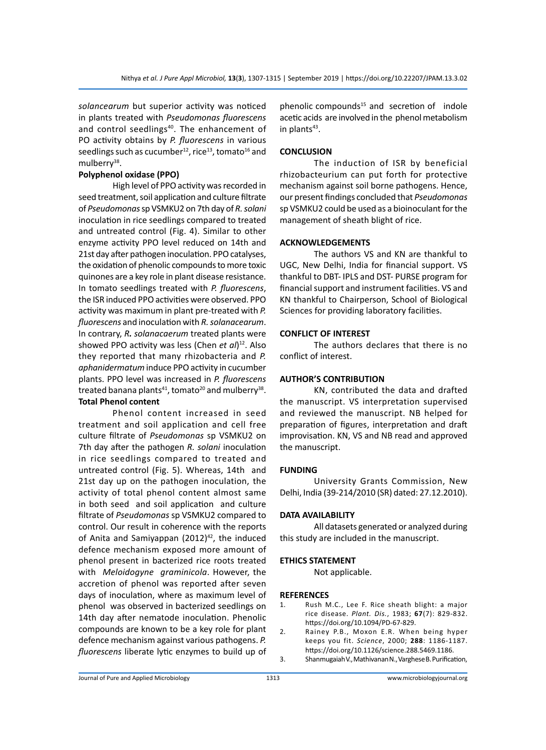*solancearum* but superior activity was noticed in plants treated with *Pseudomonas fluorescens*  and control seedlings<sup>40</sup>. The enhancement of PO activity obtains by *P. fluorescens* in various seedlings such as cucumber<sup>12</sup>, rice<sup>13</sup>, tomato<sup>16</sup> and mulberry<sup>38</sup>.

#### **Polyphenol oxidase (PPO)**

High level of PPO activity was recorded in seed treatment, soil application and culture filtrate of *Pseudomonas* sp VSMKU2 on 7th day of *R. solani* inoculation in rice seedlings compared to treated and untreated control (Fig. 4). Similar to other enzyme activity PPO level reduced on 14th and 21st day after pathogen inoculation. PPO catalyses, the oxidation of phenolic compounds to more toxic quinones are a key role in plant disease resistance. In tomato seedlings treated with *P. fluorescens*, the ISR induced PPO activities were observed. PPO activity was maximum in plant pre-treated with *P. fluorescens* and inoculation with *R. solanacearum*. In contrary, *R. solanacaerum* treated plants were showed PPO activity was less (Chen *et al*) 12. Also they reported that many rhizobacteria and *P. aphanidermatum* induce PPO activity in cucumber plants. PPO level was increased in *P. fluorescens* treated banana plants<sup>41</sup>, tomato<sup>20</sup> and mulberry<sup>38</sup>. **Total Phenol content**

Phenol content increased in seed treatment and soil application and cell free culture filtrate of *Pseudomonas* sp VSMKU2 on 7th day after the pathogen *R. solani* inoculation in rice seedlings compared to treated and untreated control (Fig. 5). Whereas, 14th and 21st day up on the pathogen inoculation, the activity of total phenol content almost same in both seed and soil application and culture filtrate of *Pseudomonas* sp VSMKU2 compared to control. Our result in coherence with the reports of Anita and Samiyappan  $(2012)^{42}$ , the induced defence mechanism exposed more amount of phenol present in bacterized rice roots treated with *Meloidogyne graminicola*. However, the accretion of phenol was reported after seven days of inoculation, where as maximum level of phenol was observed in bacterized seedlings on 14th day after nematode inoculation. Phenolic compounds are known to be a key role for plant defence mechanism against various pathogens. *P. fluorescens* liberate lytic enzymes to build up of phenolic compounds $15$  and secretion of indole acetic acids are involved in the phenol metabolism in plants $43$ .

#### **CONCLUSION**

The induction of ISR by beneficial rhizobacteurium can put forth for protective mechanism against soil borne pathogens. Hence, our present findings concluded that *Pseudomonas* sp VSMKU2 could be used as a bioinoculant for the management of sheath blight of rice.

#### **ACKNOWLEDGEMENTS**

The authors VS and KN are thankful to UGC, New Delhi, India for financial support. VS thankful to DBT- IPLS and DST- PURSE program for financial support and instrument facilities. VS and KN thankful to Chairperson, School of Biological Sciences for providing laboratory facilities.

#### **CONFLICT OF INTEREST**

The authors declares that there is no conflict of interest.

#### **AUTHOR'S CONTRIBUTION**

KN, contributed the data and drafted the manuscript. VS interpretation supervised and reviewed the manuscript. NB helped for preparation of figures, interpretation and draft improvisation. KN, VS and NB read and approved the manuscript.

#### **FUNDING**

University Grants Commission, New Delhi, India (39-214/2010 (SR) dated: 27.12.2010).

#### **DATA AVAILABILITY**

All datasets generated or analyzed during this study are included in the manuscript.

#### **ETHICS STATEMENT**

Not applicable.

#### **REFERENCES**

- 1. Rush M.C., Lee F. Rice sheath blight: a major rice disease. *Plant. Dis.*, 1983; **67**(7): 829-832. https://doi.org/10.1094/PD-67-829.
- 2. Rainey P.B., Moxon E.R. When being hyper keeps you fit. *Science*, 2000; **288**: 1186-1187. https://doi.org/10.1126/science.288.5469.1186.
- 3. Shanmugaiah V., Mathivanan N., Varghese B. Purification,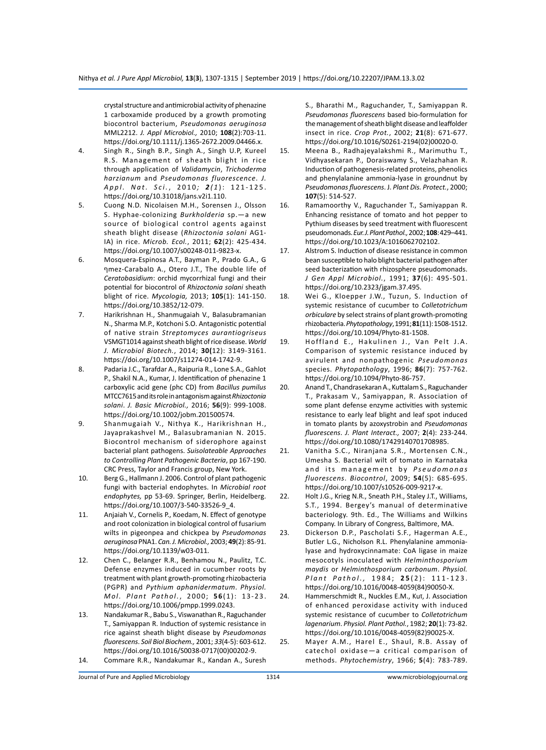crystal structure and antimicrobial activity of phenazine 1 carboxamide produced by a growth promoting biocontrol bacterium, *Pseudomonas aeruginosa* MML2212. *J. Appl Microbiol.,* 2010; **108**(2):703-11. https://doi.org/10.1111/j.1365-2672.2009.04466.x.

- 4. Singh R., Singh B.P., Singh A., Singh U.P, Kureel R.S. Management of sheath blight in rice through application of *Validamycin*, *Trichoderma harzianum* and *Pseudomonas fluorescence*. *J. Appl. Nat. Sci.* , 2010 *; 2 ( 1* ): 121-125. https://doi.org/10.31018/jans.v2i1.110.
- 5. Cuong N.D. Nicolaisen M.H., Sorensen J., Olsson S. Hyphae-colonizing *Burkholderia* sp.—a new source of biological control agents against sheath blight disease (*Rhizoctonia solani* AG1- IA) in rice. *Microb. Ecol.*, 2011; **62**(2): 425-434. https://doi.org/10.1007/s00248-011-9823-x.
- 6. Mosquera-Espinosa A.T., Bayman P., Prado G.A., G ףmez-Carabalם A., Otero J.T., The double life of *Ceratobasidium*: orchid mycorrhizal fungi and their potential for biocontrol of *Rhizoctonia solani* sheath blight of rice. *Mycologia,* 2013; **105**(1): 141-150. https://doi.org/10.3852/12-079.
- 7. Harikrishnan H., Shanmugaiah V., Balasubramanian N., Sharma M.P., Kotchoni S.O. Antagonistic potential of native strain *Streptomyces aurantiogriseus* VSMGT1014 against sheath blight of rice disease.*World J. Microbiol Biotech.*, 2014; **30(**12): 3149-3161. https://doi.org/10.1007/s11274-014-1742-9.
- 8. Padaria J.C., Tarafdar A., Raipuria R., Lone S.A., Gahlot P., Shakil N.A., Kumar, J. Identification of phenazine 1 carboxylic acid gene (phc CD) from *Bacillus pumilus* MTCC7615 and its role in antagonism against *Rhizoctonia solani*. *J. Basic Microbiol.,* 2016; **56**(9): 999-1008. https://doi.org/10.1002/jobm.201500574.
- 9. Shanmugaiah V., Nithya K., Harikrishnan H., Jayaprakashvel M., Balasubramanian N. 2015. Biocontrol mechanism of siderophore against bacterial plant pathogens. *Suisolateable Approaches to Controlling Plant Pathogenic Bacteria*, pp 167-190. CRC Press, Taylor and Francis group, New York.
- 10. Berg G., Hallmann J. 2006. Control of plant pathogenic fungi with bacterial endophytes. In *Microbial root endophytes,* pp 53-69. Springer, Berlin, Heidelberg. https://doi.org/10.1007/3-540-33526-9\_4.
- 11. Anjaiah V., Cornelis P., Koedam, N. Effect of genotype and root colonization in biological control of fusarium wilts in pigeonpea and chickpea by *Pseudomonas aeruginosa* PNA1. *Can. J. Microbiol.,*2003; **49**(2): 85-91. https://doi.org/10.1139/w03-011.
- 12. Chen C., Belanger R.R., Benhamou N., Paulitz, T.C. Defense enzymes induced in cucumber roots by treatment with plant growth-promoting rhizobacteria (PGPR) and *Pythium aphanidermatum*. *Physiol. Mol. Plant Pathol.*, 2000; **5 6**(1): 13-23. https://doi.org/10.1006/pmpp.1999.0243.
- 13. Nandakumar R., Babu S., Viswanathan R., Raguchander T., Samiyappan R. Induction of systemic resistance in rice against sheath blight disease by *Pseudomonas fluorescens*. *Soil Biol Biochem.,* 2001; *33*(4-5): 603-612. https://doi.org/10.1016/S0038-0717(00)00202-9.
- 14. Commare R.R., Nandakumar R., Kandan A., Suresh

S., Bharathi M., Raguchander, T., Samiyappan R. *Pseudomonas fluorescens* based bio-formulation for the management of sheath blight disease and leaffolder insect in rice. *Crop Prot.*, 2002; **21**(8): 671-677. https://doi.org/10.1016/S0261-2194(02)00020-0.

- 15. Meena B., Radhajeyalakshmi R., Marimuthu T., Vidhyasekaran P., Doraiswamy S., Velazhahan R. Induction of pathogenesis-related proteins, phenolics and phenylalanine ammonia-lyase in groundnut by *Pseudomonas fluorescens*. J. *Plant Dis. Protect.*, 2000; **107**(5): 514-527.
- 16. Ramamoorthy V., Raguchander T., Samiyappan R. Enhancing resistance of tomato and hot pepper to Pythium diseases by seed treatment with fluorescent pseudomonads. *Eur. J. Plant Pathol.,* 2002; **108**: 429–441. https://doi.org/10.1023/A:1016062702102.
- 17. Alstrom S. Induction of disease resistance in common bean susceptible to halo blight bacterial pathogen after seed bacterization with rhizosphere pseudomonads. *J Gen Appl Microbiol.*, 1991; **37**(6): 495-501. https://doi.org/10.2323/jgam.37.495.
- 18. Wei G., Kloepper J.W., Tuzun, S. Induction of systemic resistance of cucumber to *Colletotrichum orbiculare* by select strains of plant growth-promoting rhizobacteria.*Phytopathology*,1991; **81**(11): 1508-1512. https://doi.org/10.1094/Phyto-81-1508.
- 19. Hoffland E., Hakulinen J., Van Pelt J.A. Comparison of systemic resistance induced by avirulent and nonpathogenic *Pseudomonas* species. *Phytopathology*, 1996; **86**(7): 757-762. https://doi.org/10.1094/Phyto-86-757.
- 20. Anand T., Chandrasekaran A., Kuttalam S., Raguchander T., Prakasam V., Samiyappan, R. Association of some plant defense enzyme activities with systemic resistance to early leaf blight and leaf spot induced in tomato plants by azoxystrobin and *Pseudomonas fluorescens*. *J. Plant Interact.,* 2007; **2**(4): 233-244. https://doi.org/10.1080/17429140701708985.
- 21. Vanitha S.C., Niranjana S.R., Mortensen C.N., Umesha S. Bacterial wilt of tomato in Karnataka and its management by Pseudomonas *fluorescens*. *Biocontrol*, 2009; **54**(5): 685-695. https://doi.org/10.1007/s10526-009-9217-x.
- 22. Holt J.G., Krieg N.R., Sneath P.H., Staley J.T., Williams, S.T., 1994. Bergey's manual of determinative bacteriology. 9th. Ed., The Williams and Wilkins Company. In Library of Congress, Baltimore, MA.
- 23. Dickerson D.P., Pascholati S.F., Hagerman A.E., Butler L.G., Nicholson R.L. Phenylalanine ammonialyase and hydroxycinnamate: CoA ligase in maize mesocotyls inoculated with *Helminthosporium maydis* or *Helminthosporium carbonum*. *Physiol. Plant Pathol.,* 1984; **2 5** (2): 111-123. https://doi.org/10.1016/0048-4059(84)90050-X.
- 24. Hammerschmidt R., Nuckles E.M., Kuז, J. Association of enhanced peroxidase activity with induced systemic resistance of cucumber to *Colletotrichum lagenarium*. *Physiol. Plant Pathol.*, 1982; **20**(1): 73-82. https://doi.org/10.1016/0048-4059(82)90025-X.
- 25. Mayer A.M., Harel E., Shaul, R.B. Assay of catechol oxidase—a critical comparison of methods. *Phytochemistry*, 1966; **5**(4): 783-789.